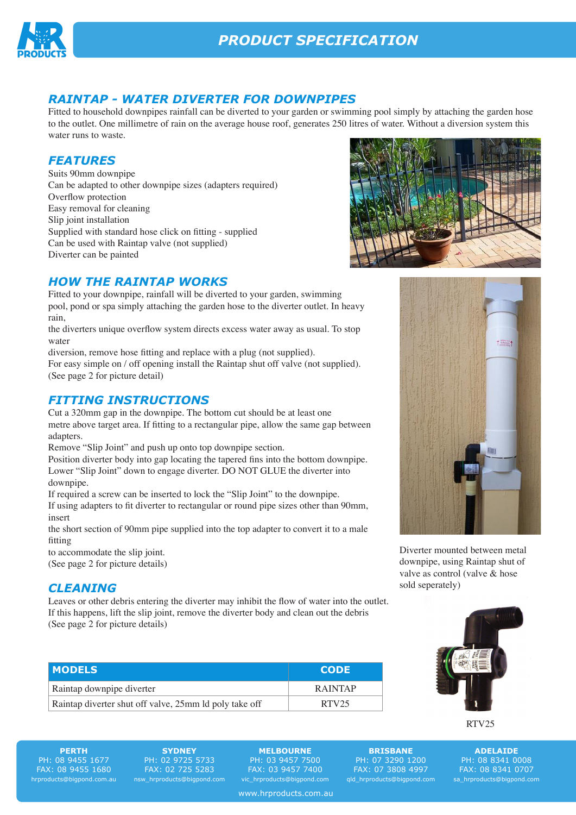

## *RAINTAP - WATER DIVERTER FOR DOWNPIPES*

Fitted to household downpipes rainfall can be diverted to your garden or swimming pool simply by attaching the garden hose to the outlet. One millimetre of rain on the average house roof, generates 250 litres of water. Without a diversion system this water runs to waste.

### *FEATURES*

Suits 90mm downpipe Can be adapted to other downpipe sizes (adapters required) Overflow protection Easy removal for cleaning Slip joint installation Supplied with standard hose click on fitting - supplied Can be used with Raintap valve (not supplied) Diverter can be painted

## *HOW THE RAINTAP WORKS*

Fitted to your downpipe, rainfall will be diverted to your garden, swimming pool, pond or spa simply attaching the garden hose to the diverter outlet. In heavy rain,

the diverters unique overflow system directs excess water away as usual. To stop water

diversion, remove hose fitting and replace with a plug (not supplied).

For easy simple on / off opening install the Raintap shut off valve (not supplied). (See page 2 for picture detail)

#### *FITTING INSTRUCTIONS*

Cut a 320mm gap in the downpipe. The bottom cut should be at least one metre above target area. If fitting to a rectangular pipe, allow the same gap between adapters.

Remove "Slip Joint" and push up onto top downpipe section.

Position diverter body into gap locating the tapered fins into the bottom downpipe. Lower "Slip Joint" down to engage diverter. DO NOT GLUE the diverter into downpipe.

If required a screw can be inserted to lock the "Slip Joint" to the downpipe.

If using adapters to fit diverter to rectangular or round pipe sizes other than 90mm, insert

the short section of 90mm pipe supplied into the top adapter to convert it to a male fitting

to accommodate the slip joint. (See page 2 for picture details)

#### *CLEANING*

Leaves or other debris entering the diverter may inhibit the flow of water into the outlet. If this happens, lift the slip joint, remove the diverter body and clean out the debris (See page 2 for picture details)

| <b>MODELS</b>                                          | <b>CODE</b>       |
|--------------------------------------------------------|-------------------|
| Raintap downpipe diverter                              | <b>RAINTAP</b>    |
| Raintap diverter shut off valve, 25mm ld poly take off | RTV <sub>25</sub> |





Diverter mounted between metal downpipe, using Raintap shut of valve as control (valve & hose sold seperately)



RTV25

**ADELAIDE** PH: 08 8341 0008 FAX: 08 8341 0707 sa\_hrproducts@bigpond.com

**PERTH** PH: 08 9455 1677 FAX: 08 9455 1680 hrproducts@bigpond.com.au

**SYDNEY** PH: 02 9725 5733 FAX: 02 725 5283 nsw\_hrproducts@bigpond.com

**MELBOURNE** PH: 03 9457 7500 FAX: 03 9457 7400 vic\_hrproducts@bigpond.com

www.hrproducts.com.au

PH: 07 3290 1200 FAX: 07 3808 4997 qld\_hrproducts@bigpond.com

**BRISBANE**